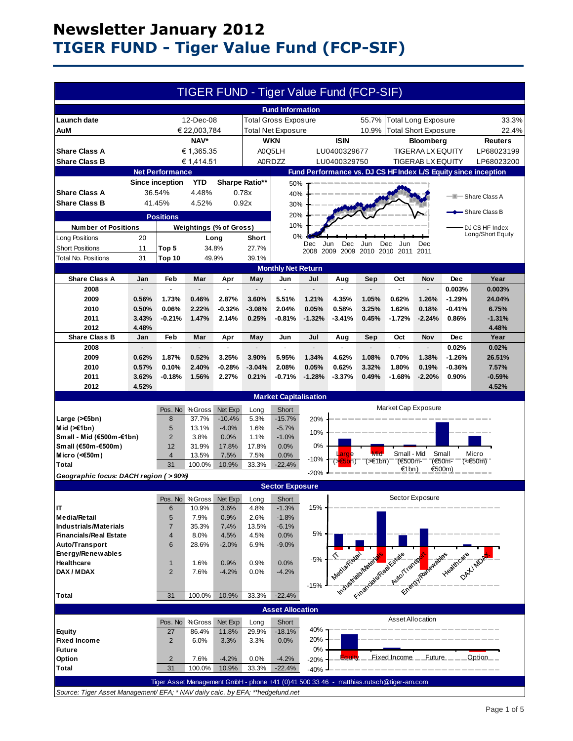# **Newsletter January 2012 TIGER FUND - Tiger Value Fund (FCP-SIF)**

|                                                                                                      |                |                                                                                        |                           |                                |                   | TIGER FUND - Tiger Value Fund (FCP-SIF) |                   |                             |                             |                        |                            |                                                                          |                                                                |
|------------------------------------------------------------------------------------------------------|----------------|----------------------------------------------------------------------------------------|---------------------------|--------------------------------|-------------------|-----------------------------------------|-------------------|-----------------------------|-----------------------------|------------------------|----------------------------|--------------------------------------------------------------------------|----------------------------------------------------------------|
| <b>Fund Information</b>                                                                              |                |                                                                                        |                           |                                |                   |                                         |                   |                             |                             |                        |                            |                                                                          |                                                                |
| Launch date                                                                                          |                |                                                                                        | 12-Dec-08                 |                                |                   | <b>Total Gross Exposure</b>             |                   |                             | 55.7%                       |                        | <b>Total Long Exposure</b> |                                                                          | 33.3%                                                          |
| AuM                                                                                                  | € 22,003,784   |                                                                                        |                           | Total Net Exposure             |                   |                                         | 10.9%             | <b>Total Short Exposure</b> |                             |                        | 22.4%                      |                                                                          |                                                                |
| NAV*                                                                                                 |                |                                                                                        | <b>WKN</b><br><b>ISIN</b> |                                |                   |                                         | <b>Bloomberg</b>  |                             |                             | <b>Reuters</b>         |                            |                                                                          |                                                                |
| <b>Share Class A</b><br>€ 1,365.35                                                                   |                | A0Q5LH<br>LU0400329677                                                                 |                           |                                |                   |                                         | TIGERAA LX EQUITY |                             | LP68023199                  |                        |                            |                                                                          |                                                                |
| <b>Share Class B</b><br>€ 1,414.51                                                                   |                |                                                                                        |                           | <b>A0RDZZ</b>                  |                   | LU0400329750                            |                   |                             | <b>TIGERAB LX EQUITY</b>    |                        | LP68023200                 |                                                                          |                                                                |
|                                                                                                      |                | <b>Net Performance</b>                                                                 |                           |                                |                   |                                         |                   |                             |                             |                        |                            |                                                                          | Fund Performance vs. DJ CS HF Index L/S Equity since inception |
|                                                                                                      |                | <b>Since inception</b>                                                                 | YTD                       | Sharpe Ratio**                 |                   | 50%                                     |                   |                             |                             |                        |                            |                                                                          |                                                                |
| <b>Share Class A</b>                                                                                 |                | 36.54%                                                                                 | 4.48%                     |                                | 0.78x             | 40%                                     |                   |                             |                             |                        |                            |                                                                          | - Share Class A                                                |
| <b>Share Class B</b>                                                                                 |                | 41.45%                                                                                 | 4.52%                     |                                | 0.92x             | 30%                                     |                   |                             |                             |                        |                            |                                                                          |                                                                |
| - Share Class B<br>20%<br><b>Positions</b>                                                           |                |                                                                                        |                           |                                |                   |                                         |                   |                             |                             |                        |                            |                                                                          |                                                                |
| <b>Number of Positions</b>                                                                           |                |                                                                                        |                           | <b>Weightings (% of Gross)</b> |                   | 10%                                     |                   |                             |                             |                        |                            |                                                                          | DJ CS HF Index                                                 |
|                                                                                                      | 20             |                                                                                        |                           |                                | Short             | 0%                                      |                   |                             |                             |                        |                            |                                                                          | Long/Short Equity                                              |
| Long Positions<br><b>Short Positions</b>                                                             | 11             | Top 5                                                                                  |                           | Long<br>34.8%                  | 27.7%             |                                         | Dec               | Jun<br>Dec                  | Jun                         | Dec                    | Dec                        |                                                                          |                                                                |
| Total No. Positions                                                                                  | 31             | Top 10                                                                                 |                           | 49.9%                          | 39.1%             |                                         | 2008              | 2009 2009                   | 2010 2010                   | 2011                   | 2011                       |                                                                          |                                                                |
|                                                                                                      |                |                                                                                        |                           |                                |                   | <b>Monthly Net Return</b>               |                   |                             |                             |                        |                            |                                                                          |                                                                |
| <b>Share Class A</b>                                                                                 | Jan            | Feb                                                                                    | Mar                       | Apr                            | May               | Jun                                     | Jul               | Aug                         | Sep                         | Oct                    | Nov                        | Dec                                                                      | Year                                                           |
| 2008                                                                                                 |                |                                                                                        |                           |                                |                   |                                         |                   |                             |                             |                        |                            | 0.003%                                                                   | 0.003%                                                         |
| 2009                                                                                                 | 0.56%          | 1.73%                                                                                  | 0.46%                     | 2.87%                          | 3.60%             | 5.51%                                   | 1.21%             | 4.35%                       | 1.05%                       | 0.62%                  | 1.26%                      | $-1.29%$                                                                 | 24.04%                                                         |
| 2010                                                                                                 | 0.50%          | 0.06%                                                                                  | 2.22%                     | $-0.32%$                       | $-3.08%$          | 2.04%                                   | 0.05%             | 0.58%                       | 3.25%                       | 1.62%                  | 0.18%                      | $-0.41%$                                                                 | 6.75%                                                          |
| 2011                                                                                                 | 3.43%          | $-0.21%$                                                                               | 1.47%                     | 2.14%                          | 0.25%             | $-0.81%$                                | $-1.32%$          | $-3.41%$                    | 0.45%                       | $-1.72%$               | $-2.24%$                   | 0.86%                                                                    | $-1.31%$                                                       |
| 2012                                                                                                 | 4.48%          |                                                                                        |                           |                                |                   |                                         |                   |                             |                             |                        |                            |                                                                          | 4.48%                                                          |
| <b>Share Class B</b>                                                                                 | Jan            | Feb                                                                                    | Mar                       | Apr                            | May               | Jun                                     | Jul               | Aug                         | Sep                         | Oct                    | Nov                        | <b>Dec</b>                                                               | Year                                                           |
| 2008                                                                                                 |                |                                                                                        |                           |                                |                   |                                         |                   |                             |                             |                        |                            | 0.02%                                                                    | 0.02%                                                          |
| 2009                                                                                                 | 0.62%          | 1.87%                                                                                  | 0.52%                     | 3.25%                          | 3.90%             | 5.95%                                   | 1.34%             | 4.62%                       | 1.08%                       | 0.70%                  | 1.38%                      | $-1.26%$                                                                 | 26.51%                                                         |
| 2010<br>2011                                                                                         | 0.57%<br>3.62% | 0.10%<br>$-0.18%$                                                                      | 2.40%<br>1.56%            | $-0.28%$<br>2.27%              | $-3.04%$<br>0.21% | 2.08%<br>$-0.71%$                       | 0.05%<br>$-1.28%$ | 0.62%<br>$-3.37%$           | 3.32%<br>0.49%              | 1.80%<br>$-1.68%$      | 0.19%<br>$-2.20%$          | $-0.36%$<br>0.90%                                                        | 7.57%<br>$-0.59%$                                              |
| 2012                                                                                                 | 4.52%          |                                                                                        |                           |                                |                   |                                         |                   |                             |                             |                        |                            |                                                                          | 4.52%                                                          |
|                                                                                                      |                |                                                                                        |                           |                                |                   |                                         |                   |                             |                             |                        |                            |                                                                          |                                                                |
| <b>Market Capitalisation</b><br>Market Cap Exposure<br>Net Exp<br>Pos. No<br>%Gross<br>Short<br>Long |                |                                                                                        |                           |                                |                   |                                         |                   |                             |                             |                        |                            |                                                                          |                                                                |
| Large (>€5bn)                                                                                        |                | 8                                                                                      | 37.7%                     | $-10.4%$                       | 5.3%              | $-15.7%$                                | 20%               |                             |                             |                        |                            |                                                                          |                                                                |
| Mid $(\ge 1$ bn)                                                                                     |                | 5                                                                                      | 13.1%                     | $-4.0%$                        | 1.6%              | $-5.7%$                                 |                   |                             |                             |                        |                            |                                                                          |                                                                |
| Small - Mid (€500m-€1bn)                                                                             |                | $\overline{2}$                                                                         | 3.8%                      | 0.0%                           | 1.1%              | $-1.0%$                                 | 10%               |                             |                             |                        |                            |                                                                          |                                                                |
| Small (€50m-€500m)                                                                                   |                | 12                                                                                     | 31.9%                     | 17.8%                          | 17.8%             | 0.0%                                    | 0%                |                             |                             |                        |                            |                                                                          |                                                                |
| Micro (< $60$ m)                                                                                     |                | 4                                                                                      | 13.5%                     | 7.5%                           | 7.5%              | 0.0%                                    | $-10%$            | arge                        | <b>Mid</b><br>$(\geq 1$ bn) | Small - Mid<br>(€500m- | Small                      | (€50m-                                                                   | Micro<br>(<€50m)                                               |
| Total                                                                                                |                | 31                                                                                     | 100.0%                    | 10.9%                          | 33.3%             | $-22.4%$                                | $-20%$            |                             |                             | €1bn)                  | €500m)                     |                                                                          |                                                                |
| Geographic focus: DACH region (>90%)                                                                 |                |                                                                                        |                           |                                |                   |                                         |                   |                             |                             |                        |                            |                                                                          |                                                                |
|                                                                                                      |                |                                                                                        |                           |                                |                   | <b>Sector Exposure</b>                  |                   |                             |                             |                        |                            |                                                                          |                                                                |
|                                                                                                      |                |                                                                                        |                           |                                |                   | Pos. No %Gross Net Exp Long Short       | H                 |                             |                             |                        | Sector Exposure            |                                                                          |                                                                |
| IT                                                                                                   |                | 6                                                                                      | 10.9%                     | 3.6%                           | 4.8%              | $-1.3%$                                 | 15%               |                             |                             |                        |                            |                                                                          |                                                                |
| <b>Media/Retail</b>                                                                                  |                | 5                                                                                      | 7.9%                      | 0.9%                           | 2.6%              | $-1.8%$                                 |                   |                             |                             |                        |                            |                                                                          |                                                                |
| <b>Industrials/Materials</b><br><b>Financials/Real Estate</b>                                        |                | $\overline{7}$<br>$\overline{4}$                                                       | 35.3%<br>8.0%             | 7.4%<br>4.5%                   | 13.5%<br>4.5%     | $-6.1%$<br>0.0%                         | 5%                |                             |                             |                        |                            |                                                                          |                                                                |
| Auto/Transport                                                                                       |                | 6                                                                                      | 28.6%                     | $-2.0%$                        | 6.9%              | $-9.0%$                                 |                   |                             |                             |                        |                            |                                                                          |                                                                |
| Energy/Renewables                                                                                    |                |                                                                                        |                           |                                |                   |                                         |                   |                             |                             |                        |                            |                                                                          |                                                                |
| Healthcare                                                                                           |                | $\mathbf{1}$                                                                           | 1.6%                      | 0.9%                           | 0.9%              | 0.0%                                    | $-5%$             |                             |                             |                        |                            |                                                                          |                                                                |
| DAX / MDAX                                                                                           |                | $\overline{2}$                                                                         | 7.6%                      | $-4.2%$                        | 0.0%              | $-4.2%$                                 |                   |                             |                             |                        |                            |                                                                          |                                                                |
|                                                                                                      |                |                                                                                        |                           |                                |                   |                                         | $-15%$            |                             |                             |                        |                            | Theodoresian Media Scale - defended the Media of the Media Scale - North |                                                                |
| Total                                                                                                |                | 31                                                                                     | 100.0%                    | 10.9%                          | 33.3%             | $-22.4%$                                |                   |                             |                             |                        |                            |                                                                          |                                                                |
|                                                                                                      |                |                                                                                        |                           |                                |                   | <b>Asset Allocation</b>                 |                   |                             |                             |                        |                            |                                                                          |                                                                |
|                                                                                                      |                |                                                                                        | Pos. No %Gross            | Net Exp                        | Long              | Short                                   |                   |                             |                             | Asset Allocation       |                            |                                                                          |                                                                |
| <b>Equity</b>                                                                                        |                | 27                                                                                     | 86.4%                     | 11.8%                          | 29.9%             | $-18.1%$                                | 40%               |                             |                             |                        |                            |                                                                          |                                                                |
| <b>Fixed Income</b>                                                                                  |                | $\overline{2}$                                                                         | 6.0%                      | 3.3%                           | 3.3%              | 0.0%                                    | 20%               |                             |                             |                        |                            |                                                                          |                                                                |
| <b>Future</b>                                                                                        |                |                                                                                        |                           |                                |                   |                                         | 0%                |                             |                             |                        |                            |                                                                          |                                                                |
| Option                                                                                               |                | $\overline{2}$                                                                         | 7.6%                      | $-4.2%$                        | 0.0%              | $-4.2%$                                 | $-20%$            |                             |                             | Fixed Income __ Future |                            |                                                                          | Option                                                         |
| <b>Total</b>                                                                                         |                | 31                                                                                     | 100.0%                    | 10.9%                          | 33.3%             | $-22.4%$                                | $-40%$            |                             |                             |                        |                            |                                                                          |                                                                |
|                                                                                                      |                | Tiger Asset Management GmbH - phone +41 (0)41 500 33 46 - matthias.rutsch@tiger-am.com |                           |                                |                   |                                         |                   |                             |                             |                        |                            |                                                                          |                                                                |
| Source: Tiger Asset Management/ EFA; * NAV daily calc. by EFA; **hedgefund.net                       |                |                                                                                        |                           |                                |                   |                                         |                   |                             |                             |                        |                            |                                                                          |                                                                |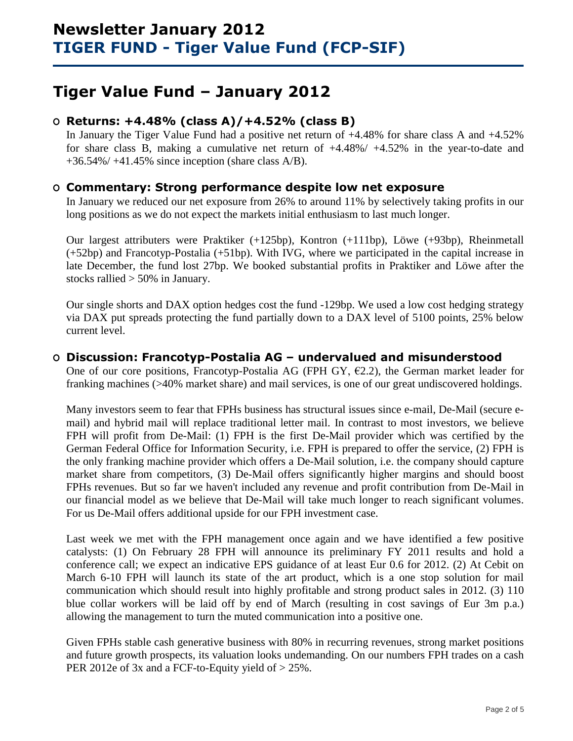# **Tiger Value Fund – January 2012**

## **O Returns: +4.48% (class A)/+4.52% (class B)**

In January the Tiger Value Fund had a positive net return of  $+4.48\%$  for share class A and  $+4.52\%$ for share class B, making a cumulative net return of +4.48%/ +4.52% in the year-to-date and  $+36.54\% / +41.45\%$  since inception (share class A/B).

### **O Commentary: Strong performance despite low net exposure**

In January we reduced our net exposure from 26% to around 11% by selectively taking profits in our long positions as we do not expect the markets initial enthusiasm to last much longer.

Our largest attributers were Praktiker (+125bp), Kontron (+111bp), Löwe (+93bp), Rheinmetall (+52bp) and Francotyp-Postalia (+51bp). With IVG, where we participated in the capital increase in late December, the fund lost 27bp. We booked substantial profits in Praktiker and Löwe after the stocks rallied > 50% in January.

Our single shorts and DAX option hedges cost the fund -129bp. We used a low cost hedging strategy via DAX put spreads protecting the fund partially down to a DAX level of 5100 points, 25% below current level.

### **O Discussion: Francotyp-Postalia AG – undervalued and misunderstood**

One of our core positions, Francotyp-Postalia AG (FPH GY,  $E2.2$ ), the German market leader for franking machines (>40% market share) and mail services, is one of our great undiscovered holdings.

Many investors seem to fear that FPHs business has structural issues since e-mail, De-Mail (secure email) and hybrid mail will replace traditional letter mail. In contrast to most investors, we believe FPH will profit from De-Mail: (1) FPH is the first De-Mail provider which was certified by the German Federal Office for Information Security, i.e. FPH is prepared to offer the service, (2) FPH is the only franking machine provider which offers a De-Mail solution, i.e. the company should capture market share from competitors, (3) De-Mail offers significantly higher margins and should boost FPHs revenues. But so far we haven't included any revenue and profit contribution from De-Mail in our financial model as we believe that De-Mail will take much longer to reach significant volumes. For us De-Mail offers additional upside for our FPH investment case.

Last week we met with the FPH management once again and we have identified a few positive catalysts: (1) On February 28 FPH will announce its preliminary FY 2011 results and hold a conference call; we expect an indicative EPS guidance of at least Eur 0.6 for 2012. (2) At Cebit on March 6-10 FPH will launch its state of the art product, which is a one stop solution for mail communication which should result into highly profitable and strong product sales in 2012. (3) 110 blue collar workers will be laid off by end of March (resulting in cost savings of Eur 3m p.a.) allowing the management to turn the muted communication into a positive one.

Given FPHs stable cash generative business with 80% in recurring revenues, strong market positions and future growth prospects, its valuation looks undemanding. On our numbers FPH trades on a cash PER 2012e of 3x and a FCF-to-Equity yield of  $> 25\%$ .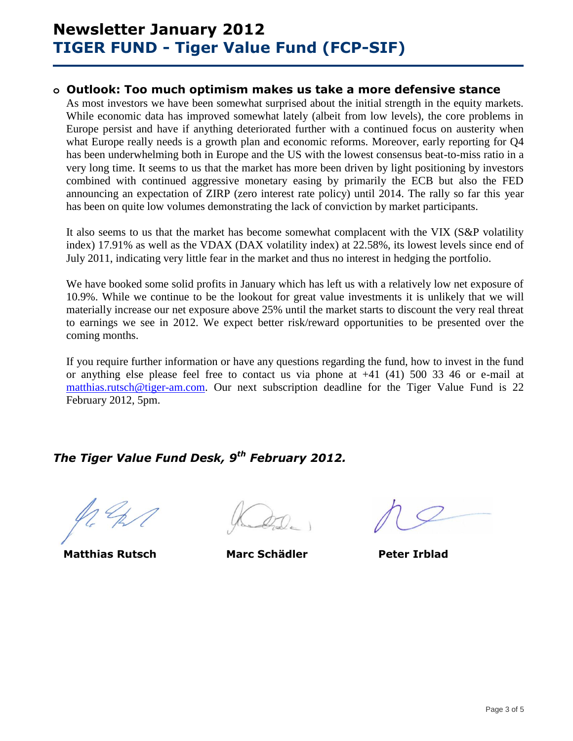# **Newsletter January 2012 TIGER FUND - Tiger Value Fund (FCP-SIF)**

### **o Outlook: Too much optimism makes us take a more defensive stance**

As most investors we have been somewhat surprised about the initial strength in the equity markets. While economic data has improved somewhat lately (albeit from low levels), the core problems in Europe persist and have if anything deteriorated further with a continued focus on austerity when what Europe really needs is a growth plan and economic reforms. Moreover, early reporting for Q4 has been underwhelming both in Europe and the US with the lowest consensus beat-to-miss ratio in a very long time. It seems to us that the market has more been driven by light positioning by investors combined with continued aggressive monetary easing by primarily the ECB but also the FED announcing an expectation of ZIRP (zero interest rate policy) until 2014. The rally so far this year has been on quite low volumes demonstrating the lack of conviction by market participants.

It also seems to us that the market has become somewhat complacent with the VIX (S&P volatility index) 17.91% as well as the VDAX (DAX volatility index) at 22.58%, its lowest levels since end of July 2011, indicating very little fear in the market and thus no interest in hedging the portfolio.

We have booked some solid profits in January which has left us with a relatively low net exposure of 10.9%. While we continue to be the lookout for great value investments it is unlikely that we will materially increase our net exposure above 25% until the market starts to discount the very real threat to earnings we see in 2012. We expect better risk/reward opportunities to be presented over the coming months.

If you require further information or have any questions regarding the fund, how to invest in the fund or anything else please feel free to contact us via phone at +41 (41) 500 33 46 or e-mail at [matthias.rutsch@tiger-am.com.](mailto:matthias.rutsch@tiger-am.com) Our next subscription deadline for the Tiger Value Fund is 22 February 2012, 5pm.

## *The Tiger Value Fund Desk, 9 th February 2012.*

**Matthias Rutsch Marc Schädler Peter Irblad**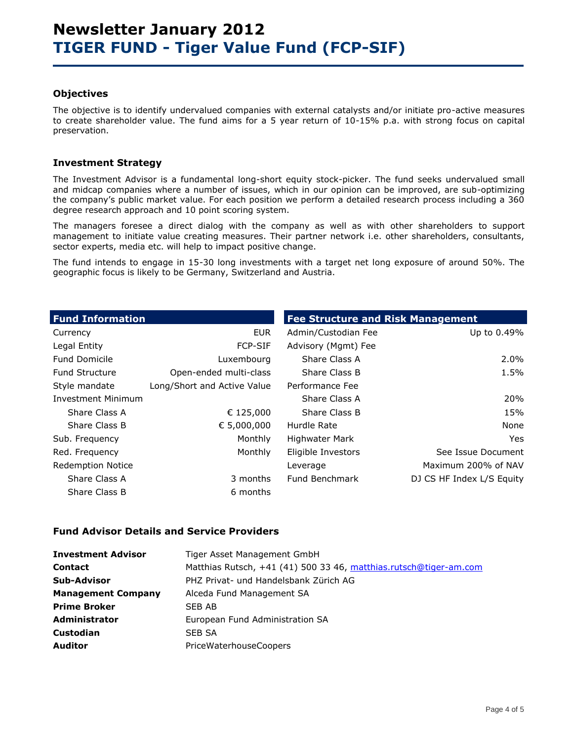#### **Objectives**

The objective is to identify undervalued companies with external catalysts and/or initiate pro-active measures to create shareholder value. The fund aims for a 5 year return of 10-15% p.a. with strong focus on capital preservation.

### **Investment Strategy**

The Investment Advisor is a fundamental long-short equity stock-picker. The fund seeks undervalued small and midcap companies where a number of issues, which in our opinion can be improved, are sub-optimizing the company's public market value. For each position we perform a detailed research process including a 360 degree research approach and 10 point scoring system.

The managers foresee a direct dialog with the company as well as with other shareholders to support management to initiate value creating measures. Their partner network i.e. other shareholders, consultants, sector experts, media etc. will help to impact positive change.

The fund intends to engage in 15-30 long investments with a target net long exposure of around 50%. The geographic focus is likely to be Germany, Switzerland and Austria.

| <b>Fund Information</b>   |                             | <b>Fee Structure and Risk Management</b> |                           |  |  |  |
|---------------------------|-----------------------------|------------------------------------------|---------------------------|--|--|--|
| Currency                  | <b>EUR</b>                  | Admin/Custodian Fee                      | Up to 0.49%               |  |  |  |
| Legal Entity              | <b>FCP-SIF</b>              | Advisory (Mgmt) Fee                      |                           |  |  |  |
| <b>Fund Domicile</b>      | Luxembourg                  | Share Class A                            | $2.0\%$                   |  |  |  |
| <b>Fund Structure</b>     | Open-ended multi-class      | Share Class B                            | 1.5%                      |  |  |  |
| Style mandate             | Long/Short and Active Value | Performance Fee                          |                           |  |  |  |
| <b>Investment Minimum</b> |                             | Share Class A                            | 20%                       |  |  |  |
| Share Class A             | € 125,000                   | Share Class B                            | 15%                       |  |  |  |
| Share Class B             | € 5,000,000                 | Hurdle Rate                              | None                      |  |  |  |
| Sub. Frequency            | Monthly                     | <b>Highwater Mark</b>                    | Yes                       |  |  |  |
| Red. Frequency            | Monthly                     | Eligible Investors                       | See Issue Document        |  |  |  |
| <b>Redemption Notice</b>  |                             | Leverage                                 | Maximum 200% of NAV       |  |  |  |
| Share Class A             | 3 months                    | Fund Benchmark                           | DJ CS HF Index L/S Equity |  |  |  |
| Share Class B             | 6 months                    |                                          |                           |  |  |  |

#### **Fund Advisor Details and Service Providers**

| <b>Investment Advisor</b> | Tiger Asset Management GmbH                                       |
|---------------------------|-------------------------------------------------------------------|
| <b>Contact</b>            | Matthias Rutsch, +41 (41) 500 33 46, matthias.rutsch@tiger-am.com |
| Sub-Advisor               | PHZ Privat- und Handelsbank Zürich AG                             |
| <b>Management Company</b> | Alceda Fund Management SA                                         |
| <b>Prime Broker</b>       | SEB AB                                                            |
| Administrator             | European Fund Administration SA                                   |
| Custodian                 | SEB SA                                                            |
| <b>Auditor</b>            | <b>PriceWaterhouseCoopers</b>                                     |